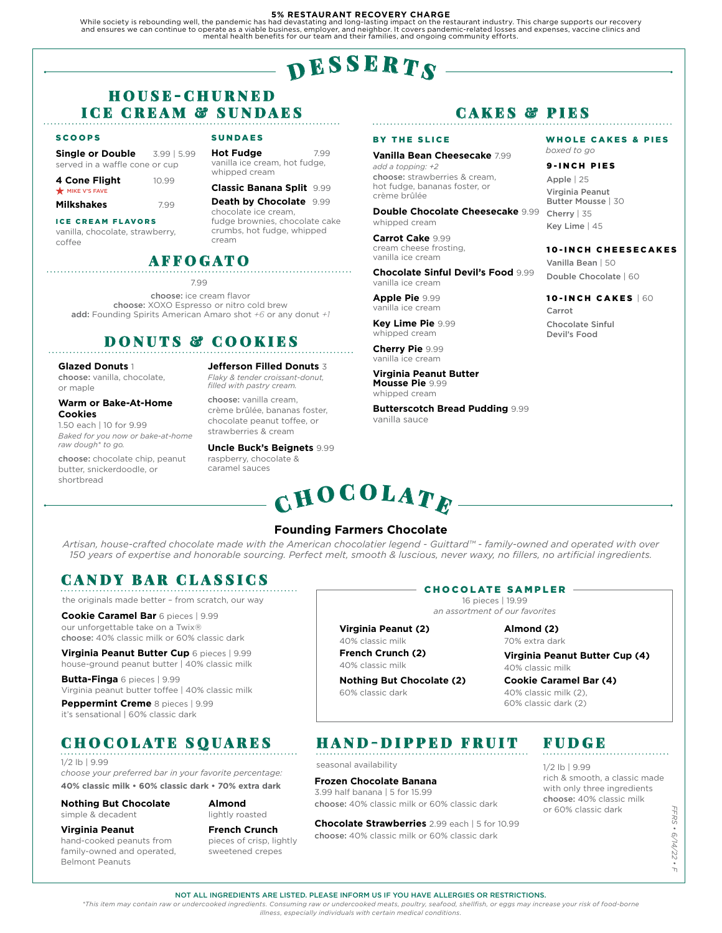#### **5% RESTAURANT RECOVERY CHARGE**

While society is rebounding well, the pandemic has had devastating and long-lasting impact on the restaurant industry. This charge supports our recovery<br>and ensures we can continue to operate as a viable business, employer mental health benefits for our team and their families, and ongoing community efforts.

# $\mathbf{p}$  esserts

### H O U S E - C H U R N E D ICE CREAM & SUNDAES

SUNDAES

whipped cream

**Hot Fudge** 7.99 vanilla ice cream, hot fudge,

**Classic Banana Split** 9.99 **Death by Chocolate** 9.99 chocolate ice cream,

fudge brownies, chocolate cake crumbs, hot fudge, whipped

#### **SCOOPS**

**Single or Double** 3.99 | 5.99 served in a waffle cone or cup

**4 Cone Flight** 10.99 **MIKE V'S FAVE** 

**Milkshakes** 7.99

ICE CREAM FLAVORS

vanilla, chocolate, strawberry, coffee

# AFFOGATO

cream

7.99

choose: ice cream flavor choose: XOXO Espresso or nitro cold brew add: Founding Spirits American Amaro shot *+6* or any donut *+1*

# DONUTS & COOKIES

#### **Glazed Donuts** 1

choose: vanilla, chocolate, or maple

### **Warm or Bake-At-Home Cookies**

1.50 each | 10 for 9.99 *Baked for you now or bake-at-home raw dough\* to go.*

choose: chocolate chip, peanut butter, snickerdoodle, or shortbread

**Jefferson Filled Donuts** 3 *Flaky & tender croissant-donut, filled with pastry cream.* 

choose: vanilla cream, crème brûlée, bananas foster, chocolate peanut toffee, or strawberries & cream

### **Uncle Buck's Beignets** 9.99

### CAKES & PIES

#### BY THE SLICE

**Vanilla Bean Cheesecake** 7.99 *add a topping: +2* choose: strawberries & cream, hot fudge, bananas foster, or crème brûlée

**Double Chocolate Cheesecake** 9.99 whipped cream

Carrot Cake 9.99 cream cheese frosting, vanilla ice cream

#### **Chocolate Sinful Devil's Food** 9.99 vanilla ice cream

**Apple Pie** 9.99 vanilla ice cream

**Key Lime Pie** 9.99 whipped cream

**Cherry Pie** 9.99 vanilla ice cream

**Virginia Peanut Butter Mousse Pie** 9.99 whipped cream

**Butterscotch Bread Pudding** 9.99 vanilla sauce

#### WHOLE CAKES & PIES *boxed to go*

#### 9-INCH PIES

Apple | 25 Virginia Peanut Butter Mousse | 30 Cherry | 35 Key Lime | 45

#### 10-INCH CHEESECAKES

Vanilla Bean | 50 Double Chocolate | 60

10-INCH CAKES | 60 Carrot

Chocolate Sinful Devil's Food

**Founding Farmers Chocolate**  $\mathbf C \mathbf H \mathbf O \mathbf C \mathbf O \mathbf L \mathbf A \mathbf T \mathbf E$ 

*Artisan, house-crafted chocolate made with the American chocolatier legend - Guittard™ - family-owned and operated with over 150 years of expertise and honorable sourcing. Perfect melt, smooth & luscious, never waxy, no fillers, no artificial ingredients.*

### CANDY BAR CLASSICS

the originals made better – from scratch, our way

**Cookie Caramel Bar** 6 pieces | 9.99 our unforgettable take on a Twix® choose: 40% classic milk or 60% classic dark

**Virginia Peanut Butter Cup** 6 pieces | 9.99 house-ground peanut butter | 40% classic milk

**Butta-Finga** 6 pieces | 9.99 Virginia peanut butter toffee | 40% classic milk

**Peppermint Creme** 8 pieces | 9.99 it's sensational | 60% classic dark

CHOCOLATE SQUARES

1/2 lb | 9.99

Belmont Peanuts

*choose your preferred bar in your favorite percentage:* **40% classic milk • 60% classic dark • 70% extra dark**

**Nothing But Chocolate** simple & decadent

**Almond** 

**French Crunch** pieces of crisp, lightly sweetened crepes

### CHOCOLATE SAMPLER

16 pieces | 19.99 *an assortment of our favorites*

### **Almond (2)**

70% extra dark

**Virginia Peanut Butter Cup (4)** 40% classic milk

**Cookie Caramel Bar (4)** 40% classic milk (2), 60% classic dark (2)

# HAND-DIPPED FRUIT

seasonal availability

### **Frozen Chocolate Banana**

**Virginia Peanut (2)** 40% classic milk **French Crunch (2)** 40% classic milk

60% classic dark

**Nothing But Chocolate (2)** 

3.99 half banana | 5 for 15.99 choose: 40% classic milk or 60% classic dark

**Chocolate Strawberries** 2.99 each | 5 for 10.99 choose: 40% classic milk or 60% classic dark

# FUDGE

1/2 lb | 9.99 rich & smooth, a classic made with only three ingredients choose: 40% classic milk or 60% classic dark

 *FFRS • 6/14/22 • F* **FFRS**  $. 8/14/22.$  $\top$ 

NOT ALL INGREDIENTS ARE LISTED. PLEASE INFORM US IF YOU HAVE ALLERGIES OR RESTRICTIONS.

*\*This item may contain raw or undercooked ingredients. Consuming raw or undercooked meats, poultry, seafood, shellfish, or eggs may increase your risk of food-borne illness, especially individuals with certain medical conditions.*

**Virginia Peanut** hand-cooked peanuts from family-owned and operated,

lightly roasted

raspberry, chocolate & caramel sauces